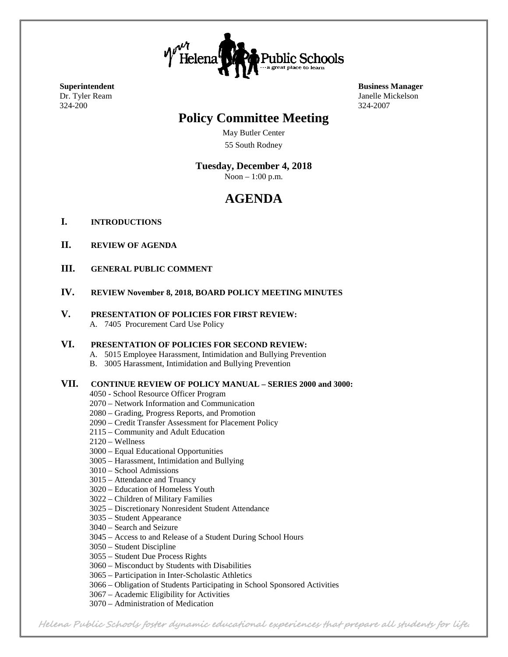

324-200 324-2007

# **Policy Committee Meeting**

May Butler Center 55 South Rodney

## **Tuesday, December 4, 2018**

Noon – 1:00 p.m.

# **AGENDA**

- **I. INTRODUCTIONS**
- **II. REVIEW OF AGENDA**
- **III. GENERAL PUBLIC COMMENT**
- **IV. REVIEW November 8, 2018, BOARD POLICY MEETING MINUTES**
- **V. PRESENTATION OF POLICIES FOR FIRST REVIEW:** A. 7405 Procurement Card Use Policy

#### **VI. PRESENTATION OF POLICIES FOR SECOND REVIEW:**

- A. 5015 Employee Harassment, Intimidation and Bullying Prevention
- B. 3005 Harassment, Intimidation and Bullying Prevention

#### **VII. CONTINUE REVIEW OF POLICY MANUAL – SERIES 2000 and 3000:**

- 4050 School Resource Officer Program
- 2070 Network Information and Communication
- 2080 Grading, Progress Reports, and Promotion
- 2090 Credit Transfer Assessment for Placement Policy
- 2115 Community and Adult Education
- 2120 Wellness
- 3000 Equal Educational Opportunities
- 3005 Harassment, Intimidation and Bullying
- 3010 School Admissions
- 3015 Attendance and Truancy
- 3020 Education of Homeless Youth
- 3022 Children of Military Families
- 3025 Discretionary Nonresident Student Attendance
- 3035 Student Appearance
- 3040 Search and Seizure
- 3045 Access to and Release of a Student During School Hours
- 3050 Student Discipline
- 3055 Student Due Process Rights
- 3060 Misconduct by Students with Disabilities
- 3065 Participation in Inter-Scholastic Athletics
- 3066 Obligation of Students Participating in School Sponsored Activities
- 3067 Academic Eligibility for Activities
- 3070 Administration of Medication

**Superintendent Business Manager** Dr. Tyler Ream Janelle Mickelson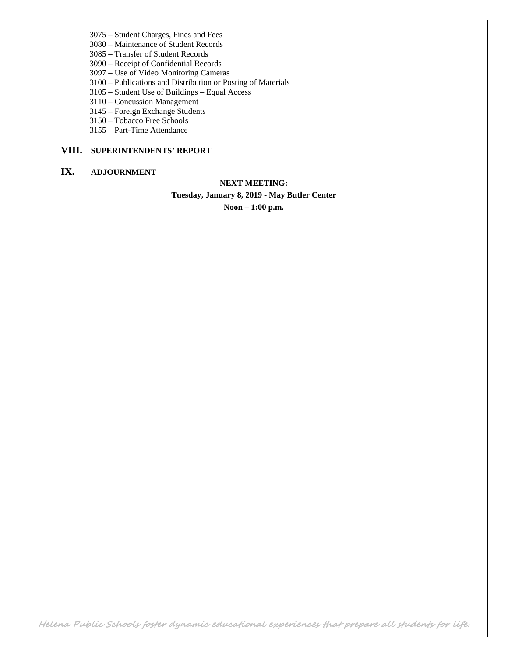- 3075 Student Charges, Fines and Fees
- 3080 Maintenance of Student Records
- 3085 Transfer of Student Records
- 3090 Receipt of Confidential Records
- 3097 Use of Video Monitoring Cameras
- 3100 Publications and Distribution or Posting of Materials
- 3105 Student Use of Buildings Equal Access
- 3110 Concussion Management
- 3145 Foreign Exchange Students
- 3150 Tobacco Free Schools
- 3155 Part-Time Attendance

## **VIII. SUPERINTENDENTS' REPORT**

### **IX. ADJOURNMENT**

### **NEXT MEETING:**

**Tuesday, January 8, 2019 - May Butler Center**

**Noon – 1:00 p.m.**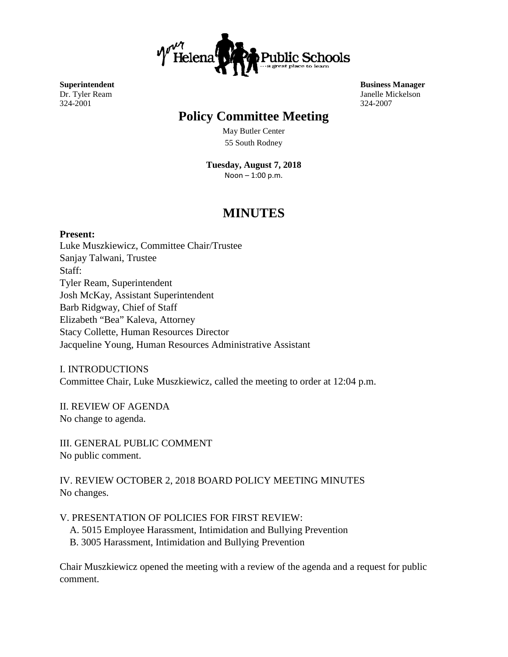

324-2001 324-2007

# **Policy Committee Meeting**

May Butler Center 55 South Rodney

**Tuesday, August 7, 2018** Noon – 1:00 p.m.

# **MINUTES**

**Present:** Luke Muszkiewicz, Committee Chair/Trustee Sanjay Talwani, Trustee Staff: Tyler Ream, Superintendent Josh McKay, Assistant Superintendent Barb Ridgway, Chief of Staff Elizabeth "Bea" Kaleva, Attorney Stacy Collette, Human Resources Director Jacqueline Young, Human Resources Administrative Assistant

I. INTRODUCTIONS Committee Chair, Luke Muszkiewicz, called the meeting to order at 12:04 p.m.

II. REVIEW OF AGENDA No change to agenda.

III. GENERAL PUBLIC COMMENT No public comment.

IV. REVIEW OCTOBER 2, 2018 BOARD POLICY MEETING MINUTES No changes.

V. PRESENTATION OF POLICIES FOR FIRST REVIEW:

- A. 5015 Employee Harassment, Intimidation and Bullying Prevention
- B. 3005 Harassment, Intimidation and Bullying Prevention

Chair Muszkiewicz opened the meeting with a review of the agenda and a request for public comment.

**Superintendent Business Manager** Dr. Tyler Ream Janelle Mickelson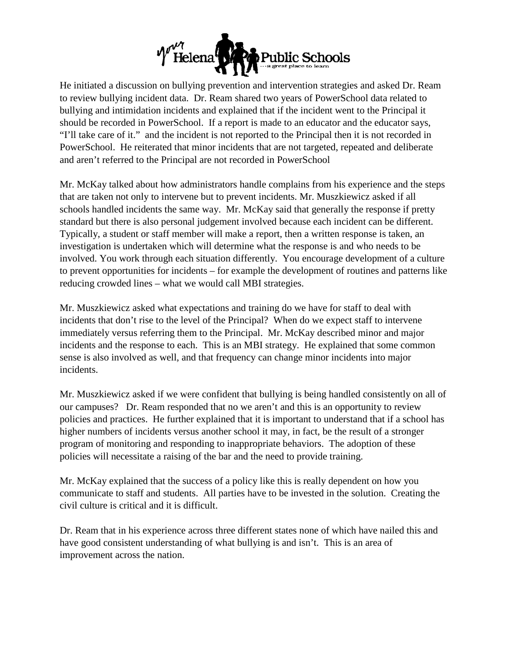

He initiated a discussion on bullying prevention and intervention strategies and asked Dr. Ream to review bullying incident data. Dr. Ream shared two years of PowerSchool data related to bullying and intimidation incidents and explained that if the incident went to the Principal it should be recorded in PowerSchool. If a report is made to an educator and the educator says, "I'll take care of it." and the incident is not reported to the Principal then it is not recorded in PowerSchool. He reiterated that minor incidents that are not targeted, repeated and deliberate and aren't referred to the Principal are not recorded in PowerSchool

Mr. McKay talked about how administrators handle complains from his experience and the steps that are taken not only to intervene but to prevent incidents. Mr. Muszkiewicz asked if all schools handled incidents the same way. Mr. McKay said that generally the response if pretty standard but there is also personal judgement involved because each incident can be different. Typically, a student or staff member will make a report, then a written response is taken, an investigation is undertaken which will determine what the response is and who needs to be involved. You work through each situation differently. You encourage development of a culture to prevent opportunities for incidents – for example the development of routines and patterns like reducing crowded lines – what we would call MBI strategies.

Mr. Muszkiewicz asked what expectations and training do we have for staff to deal with incidents that don't rise to the level of the Principal? When do we expect staff to intervene immediately versus referring them to the Principal. Mr. McKay described minor and major incidents and the response to each. This is an MBI strategy. He explained that some common sense is also involved as well, and that frequency can change minor incidents into major incidents.

Mr. Muszkiewicz asked if we were confident that bullying is being handled consistently on all of our campuses? Dr. Ream responded that no we aren't and this is an opportunity to review policies and practices. He further explained that it is important to understand that if a school has higher numbers of incidents versus another school it may, in fact, be the result of a stronger program of monitoring and responding to inappropriate behaviors. The adoption of these policies will necessitate a raising of the bar and the need to provide training.

Mr. McKay explained that the success of a policy like this is really dependent on how you communicate to staff and students. All parties have to be invested in the solution. Creating the civil culture is critical and it is difficult.

Dr. Ream that in his experience across three different states none of which have nailed this and have good consistent understanding of what bullying is and isn't. This is an area of improvement across the nation.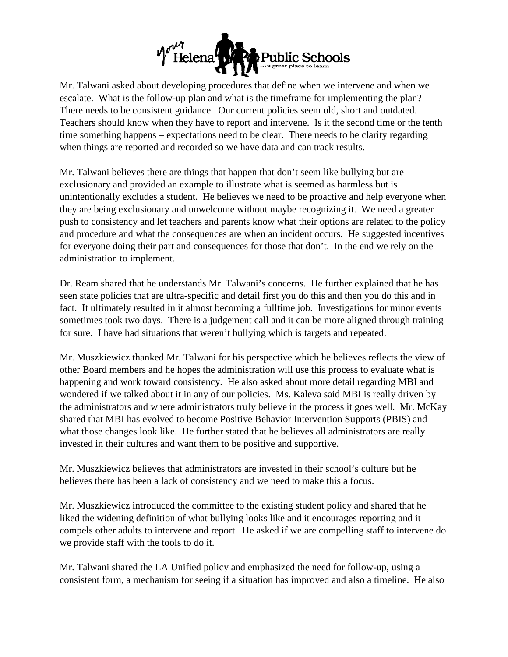

Mr. Talwani asked about developing procedures that define when we intervene and when we escalate. What is the follow-up plan and what is the timeframe for implementing the plan? There needs to be consistent guidance. Our current policies seem old, short and outdated. Teachers should know when they have to report and intervene. Is it the second time or the tenth time something happens – expectations need to be clear. There needs to be clarity regarding when things are reported and recorded so we have data and can track results.

Mr. Talwani believes there are things that happen that don't seem like bullying but are exclusionary and provided an example to illustrate what is seemed as harmless but is unintentionally excludes a student. He believes we need to be proactive and help everyone when they are being exclusionary and unwelcome without maybe recognizing it. We need a greater push to consistency and let teachers and parents know what their options are related to the policy and procedure and what the consequences are when an incident occurs. He suggested incentives for everyone doing their part and consequences for those that don't. In the end we rely on the administration to implement.

Dr. Ream shared that he understands Mr. Talwani's concerns. He further explained that he has seen state policies that are ultra-specific and detail first you do this and then you do this and in fact. It ultimately resulted in it almost becoming a fulltime job. Investigations for minor events sometimes took two days. There is a judgement call and it can be more aligned through training for sure. I have had situations that weren't bullying which is targets and repeated.

Mr. Muszkiewicz thanked Mr. Talwani for his perspective which he believes reflects the view of other Board members and he hopes the administration will use this process to evaluate what is happening and work toward consistency. He also asked about more detail regarding MBI and wondered if we talked about it in any of our policies. Ms. Kaleva said MBI is really driven by the administrators and where administrators truly believe in the process it goes well. Mr. McKay shared that MBI has evolved to become Positive Behavior Intervention Supports (PBIS) and what those changes look like. He further stated that he believes all administrators are really invested in their cultures and want them to be positive and supportive.

Mr. Muszkiewicz believes that administrators are invested in their school's culture but he believes there has been a lack of consistency and we need to make this a focus.

Mr. Muszkiewicz introduced the committee to the existing student policy and shared that he liked the widening definition of what bullying looks like and it encourages reporting and it compels other adults to intervene and report. He asked if we are compelling staff to intervene do we provide staff with the tools to do it.

Mr. Talwani shared the LA Unified policy and emphasized the need for follow-up, using a consistent form, a mechanism for seeing if a situation has improved and also a timeline. He also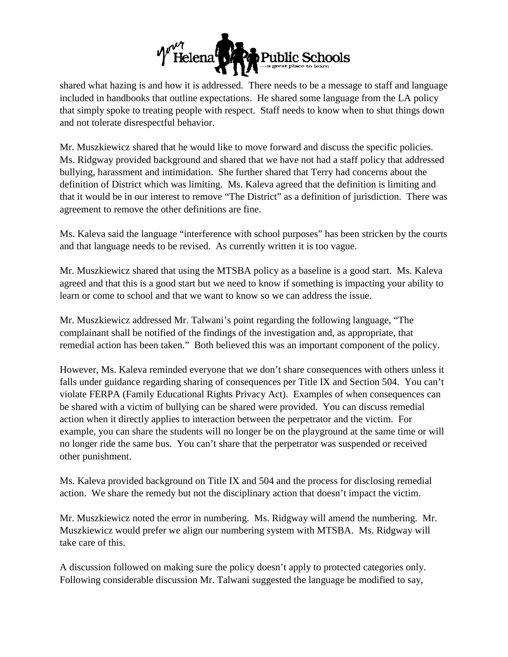

shared what hazing is and how it is addressed. There needs to be a message to staff and language included in handbooks that outline expectations. He shared some language from the LA policy that simply spoke to treating people with respect. Staff needs to know when to shut things down and not tolerate disrespectful behavior.

Mr. Muszkiewicz shared that he would like to move forward and discuss the specific policies. Ms. Ridgway provided background and shared that we have not had a staff policy that addressed bullying, harassment and intimidation. She further shared that Terry had concerns about the definition of District which was limiting. Ms. Kaleva agreed that the definition is limiting and that it would be in our interest to remove "The District" as a definition of jurisdiction. There was agreement to remove the other definitions are fine.

Ms. Kaleva said the language "interference with school purposes" has been stricken by the courts and that language needs to be revised. As currently written it is too vague.

Mr. Muszkiewicz shared that using the MTSBA policy as a baseline is a good start. Ms. Kaleva agreed and that this is a good start but we need to know if something is impacting your ability to learn or come to school and that we want to know so we can address the issue.

Mr. Muszkiewicz addressed Mr. Talwani's point regarding the following language, "The complainant shall be notified of the findings of the investigation and, as appropriate, that remedial action has been taken." Both believed this was an important component of the policy.

However, Ms. Kaleva reminded everyone that we don't share consequences with others unless it falls under guidance regarding sharing of consequences per Title IX and Section 504. You can't violate FERPA (Family Educational Rights Privacy Act). Examples of when consequences can be shared with a victim of bullying can be shared were provided. You can discuss remedial action when it directly applies to interaction between the perpetrator and the victim. For example, you can share the students will no longer be on the playground at the same time or will no longer ride the same bus. You can't share that the perpetrator was suspended or received other punishment.

Ms. Kaleva provided background on Title IX and 504 and the process for disclosing remedial action. We share the remedy but not the disciplinary action that doesn't impact the victim.

Mr. Muszkiewicz noted the error in numbering. Ms. Ridgway will amend the numbering. Mr. Muszkiewicz would prefer we align our numbering system with MTSBA. Ms. Ridgway will take care of this.

A discussion followed on making sure the policy doesn't apply to protected categories only. Following considerable discussion Mr. Talwani suggested the language be modified to say,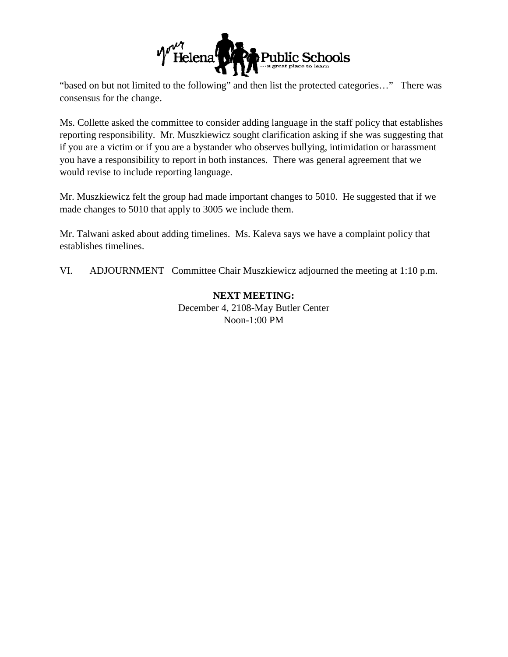

"based on but not limited to the following" and then list the protected categories…" There was consensus for the change.

Ms. Collette asked the committee to consider adding language in the staff policy that establishes reporting responsibility. Mr. Muszkiewicz sought clarification asking if she was suggesting that if you are a victim or if you are a bystander who observes bullying, intimidation or harassment you have a responsibility to report in both instances. There was general agreement that we would revise to include reporting language.

Mr. Muszkiewicz felt the group had made important changes to 5010. He suggested that if we made changes to 5010 that apply to 3005 we include them.

Mr. Talwani asked about adding timelines. Ms. Kaleva says we have a complaint policy that establishes timelines.

VI. ADJOURNMENT Committee Chair Muszkiewicz adjourned the meeting at 1:10 p.m.

## **NEXT MEETING:** December 4, 2108-May Butler Center Noon-1:00 PM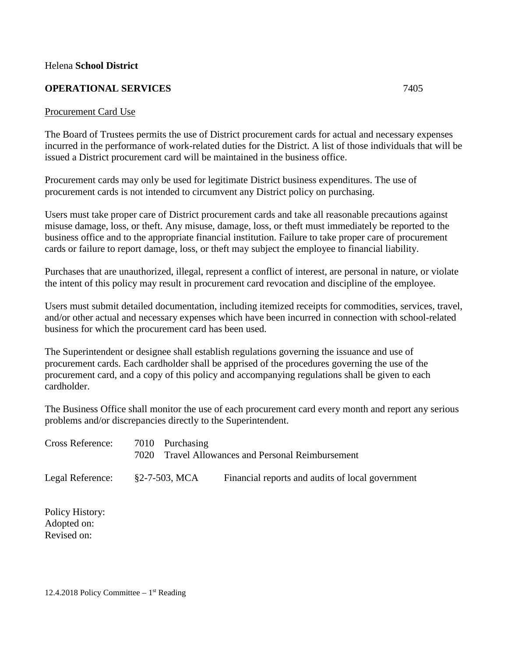### Helena **School District**

## **OPERATIONAL SERVICES** 7405

#### Procurement Card Use

The Board of Trustees permits the use of District procurement cards for actual and necessary expenses incurred in the performance of work-related duties for the District. A list of those individuals that will be issued a District procurement card will be maintained in the business office.

Procurement cards may only be used for legitimate District business expenditures. The use of procurement cards is not intended to circumvent any District policy on purchasing.

Users must take proper care of District procurement cards and take all reasonable precautions against misuse damage, loss, or theft. Any misuse, damage, loss, or theft must immediately be reported to the business office and to the appropriate financial institution. Failure to take proper care of procurement cards or failure to report damage, loss, or theft may subject the employee to financial liability.

Purchases that are unauthorized, illegal, represent a conflict of interest, are personal in nature, or violate the intent of this policy may result in procurement card revocation and discipline of the employee.

Users must submit detailed documentation, including itemized receipts for commodities, services, travel, and/or other actual and necessary expenses which have been incurred in connection with school-related business for which the procurement card has been used.

The Superintendent or designee shall establish regulations governing the issuance and use of procurement cards. Each cardholder shall be apprised of the procedures governing the use of the procurement card, and a copy of this policy and accompanying regulations shall be given to each cardholder.

The Business Office shall monitor the use of each procurement card every month and report any serious problems and/or discrepancies directly to the Superintendent.

| <b>Cross Reference:</b> | 7010 Purchasing<br>7020 | <b>Travel Allowances and Personal Reimbursement</b> |
|-------------------------|-------------------------|-----------------------------------------------------|
| Legal Reference:        | §2-7-503, MCA           | Financial reports and audits of local government    |
|                         |                         |                                                     |

Policy History: Adopted on: Revised on: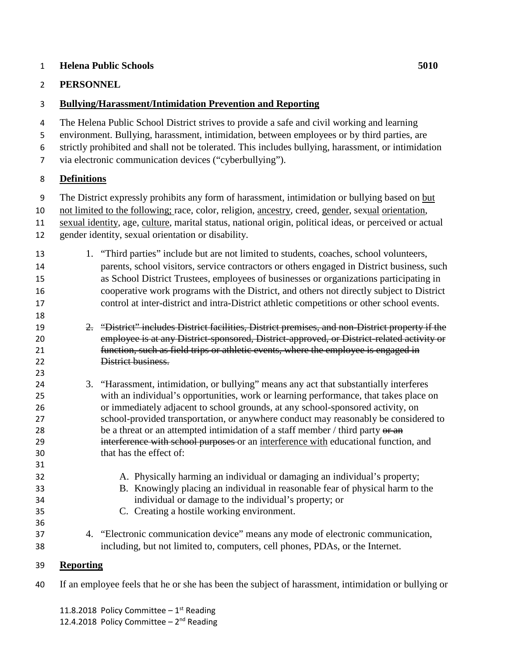## **Helena Public Schools 5010**

# **PERSONNEL**

# **Bullying/Harassment/Intimidation Prevention and Reporting**

 The Helena Public School District strives to provide a safe and civil working and learning environment. Bullying, harassment, intimidation, between employees or by third parties, are

- strictly prohibited and shall not be tolerated. This includes bullying, harassment, or intimidation
- 
- via electronic communication devices ("cyberbullying").

# **Definitions**

- The District expressly prohibits any form of harassment, intimidation or bullying based on but
- not limited to the following; race, color, religion, ancestry, creed, gender, sexual orientation,
- sexual identity, age, culture, marital status, national origin, political ideas, or perceived or actual
- gender identity, sexual orientation or disability.
- 1. "Third parties" include but are not limited to students, coaches, school volunteers, parents, school visitors, service contractors or others engaged in District business, such as School District Trustees, employees of businesses or organizations participating in cooperative work programs with the District, and others not directly subject to District control at inter-district and intra-District athletic competitions or other school events.
- 2. "District" includes District facilities, District premises, and non-District property if the employee is at any District-sponsored, District-approved, or District-related activity or function, such as field trips or athletic events, where the employee is engaged in District business.
- 3. "Harassment, intimidation, or bullying" means any act that substantially interferes with an individual's opportunities, work or learning performance, that takes place on or immediately adjacent to school grounds, at any school-sponsored activity, on school-provided transportation, or anywhere conduct may reasonably be considered to 28 be a threat or an attempted intimidation of a staff member / third party or an interference with school purposes or an interference with educational function, and that has the effect of:
- A. Physically harming an individual or damaging an individual's property;
- B. Knowingly placing an individual in reasonable fear of physical harm to the individual or damage to the individual's property; or
- C. Creating a hostile working environment.
- 4. "Electronic communication device" means any mode of electronic communication, including, but not limited to, computers, cell phones, PDAs, or the Internet.

# **Reporting**

If an employee feels that he or she has been the subject of harassment, intimidation or bullying or

11.8.2018 Policy Committee  $-1^{st}$  Reading 12.4.2018 Policy Committee –  $2^{nd}$  Reading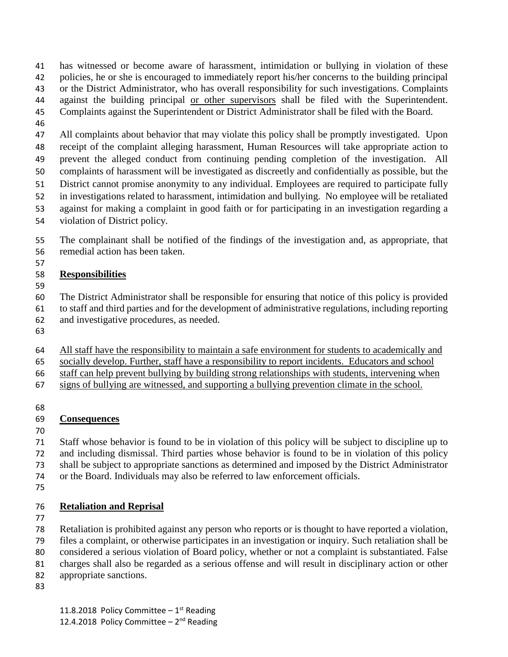has witnessed or become aware of harassment, intimidation or bullying in violation of these policies, he or she is encouraged to immediately report his/her concerns to the building principal or the District Administrator, who has overall responsibility for such investigations. Complaints 44 against the building principal or other supervisors shall be filed with the Superintendent.

- Complaints against the Superintendent or District Administrator shall be filed with the Board.
- 

 All complaints about behavior that may violate this policy shall be promptly investigated. Upon receipt of the complaint alleging harassment, Human Resources will take appropriate action to prevent the alleged conduct from continuing pending completion of the investigation. All complaints of harassment will be investigated as discreetly and confidentially as possible, but the District cannot promise anonymity to any individual. Employees are required to participate fully in investigations related to harassment, intimidation and bullying. No employee will be retaliated against for making a complaint in good faith or for participating in an investigation regarding a

violation of District policy.

 The complainant shall be notified of the findings of the investigation and, as appropriate, that remedial action has been taken.

# **Responsibilities**

- The District Administrator shall be responsible for ensuring that notice of this policy is provided
- to staff and third parties and for the development of administrative regulations, including reporting
- and investigative procedures, as needed.
- 
- All staff have the responsibility to maintain a safe environment for students to academically and

socially develop. Further, staff have a responsibility to report incidents. Educators and school

- staff can help prevent bullying by building strong relationships with students, intervening when
- signs of bullying are witnessed, and supporting a bullying prevention climate in the school.

# **Consequences**

 Staff whose behavior is found to be in violation of this policy will be subject to discipline up to and including dismissal. Third parties whose behavior is found to be in violation of this policy shall be subject to appropriate sanctions as determined and imposed by the District Administrator or the Board. Individuals may also be referred to law enforcement officials.

# **Retaliation and Reprisal**

 Retaliation is prohibited against any person who reports or is thought to have reported a violation, files a complaint, or otherwise participates in an investigation or inquiry. Such retaliation shall be

considered a serious violation of Board policy, whether or not a complaint is substantiated. False

charges shall also be regarded as a serious offense and will result in disciplinary action or other

- appropriate sanctions.
-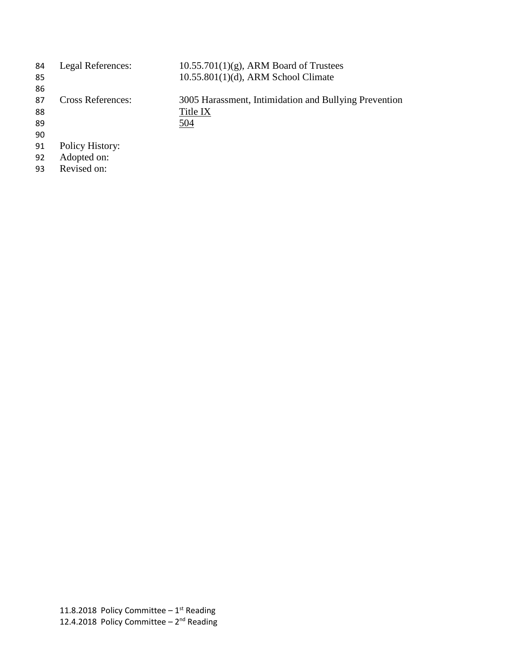| 84 | Legal References:        | $10.55.701(1)(g)$ , ARM Board of Trustees             |
|----|--------------------------|-------------------------------------------------------|
| 85 |                          | $10.55.801(1)(d)$ , ARM School Climate                |
| 86 |                          |                                                       |
| 87 | <b>Cross References:</b> | 3005 Harassment, Intimidation and Bullying Prevention |
| 88 |                          | Title IX                                              |
| 89 |                          | 504                                                   |
| 90 |                          |                                                       |
| 91 | Policy History:          |                                                       |
| 92 | Adopted on:              |                                                       |

Revised on: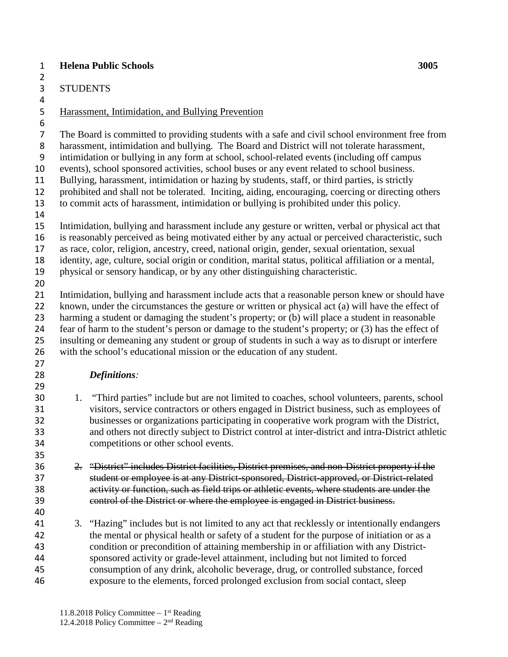## **Helena Public Schools 3005**

 STUDENTS 

# Harassment, Intimidation, and Bullying Prevention

The Board is committed to providing students with a safe and civil school environment free from

harassment, intimidation and bullying. The Board and District will not tolerate harassment,

intimidation or bullying in any form at school, school-related events (including off campus

events), school sponsored activities, school buses or any event related to school business.

Bullying, harassment, intimidation or hazing by students, staff, or third parties, is strictly

 prohibited and shall not be tolerated. Inciting, aiding, encouraging, coercing or directing others to commit acts of harassment, intimidation or bullying is prohibited under this policy.

 Intimidation, bullying and harassment include any gesture or written, verbal or physical act that is reasonably perceived as being motivated either by any actual or perceived characteristic, such

as race, color, religion, ancestry, creed, national origin, gender, sexual orientation, sexual

identity, age, culture, social origin or condition, marital status, political affiliation or a mental,

physical or sensory handicap, or by any other distinguishing characteristic.

 Intimidation, bullying and harassment include acts that a reasonable person knew or should have 22 known, under the circumstances the gesture or written or physical act (a) will have the effect of harming a student or damaging the student's property; or (b) will place a student in reasonable fear of harm to the student's person or damage to the student's property; or (3) has the effect of insulting or demeaning any student or group of students in such a way as to disrupt or interfere with the school's educational mission or the education of any student.

# *Definitions:*

 1. "Third parties" include but are not limited to coaches, school volunteers, parents, school visitors, service contractors or others engaged in District business, such as employees of businesses or organizations participating in cooperative work program with the District, and others not directly subject to District control at inter-district and intra-District athletic competitions or other school events.

 2. "District" includes District facilities, District premises, and non-District property if the student or employee is at any District-sponsored, District-approved, or District-related activity or function, such as field trips or athletic events, where students are under the control of the District or where the employee is engaged in District business.

 3. "Hazing" includes but is not limited to any act that recklessly or intentionally endangers the mental or physical health or safety of a student for the purpose of initiation or as a condition or precondition of attaining membership in or affiliation with any District- sponsored activity or grade-level attainment, including but not limited to forced consumption of any drink, alcoholic beverage, drug, or controlled substance, forced exposure to the elements, forced prolonged exclusion from social contact, sleep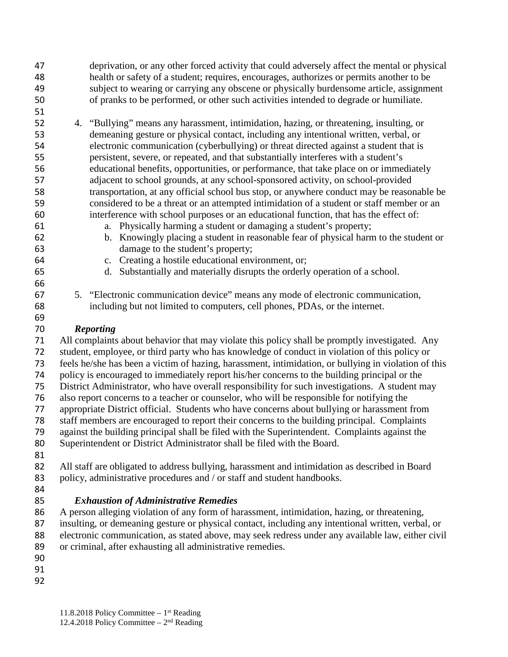- deprivation, or any other forced activity that could adversely affect the mental or physical health or safety of a student; requires, encourages, authorizes or permits another to be subject to wearing or carrying any obscene or physically burdensome article, assignment of pranks to be performed, or other such activities intended to degrade or humiliate.
- 

- 4. "Bullying" means any harassment, intimidation, hazing, or threatening, insulting, or demeaning gesture or physical contact, including any intentional written, verbal, or electronic communication (cyberbullying) or threat directed against a student that is persistent, severe, or repeated, and that substantially interferes with a student's educational benefits, opportunities, or performance, that take place on or immediately adjacent to school grounds, at any school-sponsored activity, on school-provided transportation, at any official school bus stop, or anywhere conduct may be reasonable be considered to be a threat or an attempted intimidation of a student or staff member or an interference with school purposes or an educational function, that has the effect of:
- a. Physically harming a student or damaging a student's property;
- b. Knowingly placing a student in reasonable fear of physical harm to the student or damage to the student's property;
- c. Creating a hostile educational environment, or;
- d. Substantially and materially disrupts the orderly operation of a school.
- 5. "Electronic communication device" means any mode of electronic communication, including but not limited to computers, cell phones, PDAs, or the internet.

# *Reporting*

 All complaints about behavior that may violate this policy shall be promptly investigated. Any student, employee, or third party who has knowledge of conduct in violation of this policy or feels he/she has been a victim of hazing, harassment, intimidation, or bullying in violation of this policy is encouraged to immediately report his/her concerns to the building principal or the District Administrator, who have overall responsibility for such investigations. A student may also report concerns to a teacher or counselor, who will be responsible for notifying the appropriate District official. Students who have concerns about bullying or harassment from staff members are encouraged to report their concerns to the building principal. Complaints against the building principal shall be filed with the Superintendent. Complaints against the Superintendent or District Administrator shall be filed with the Board. All staff are obligated to address bullying, harassment and intimidation as described in Board 83 policy, administrative procedures and / or staff and student handbooks.

- 
- 

# *Exhaustion of Administrative Remedies*

 A person alleging violation of any form of harassment, intimidation, hazing, or threatening, insulting, or demeaning gesture or physical contact, including any intentional written, verbal, or electronic communication, as stated above, may seek redress under any available law, either civil or criminal, after exhausting all administrative remedies.

- 
- 
-